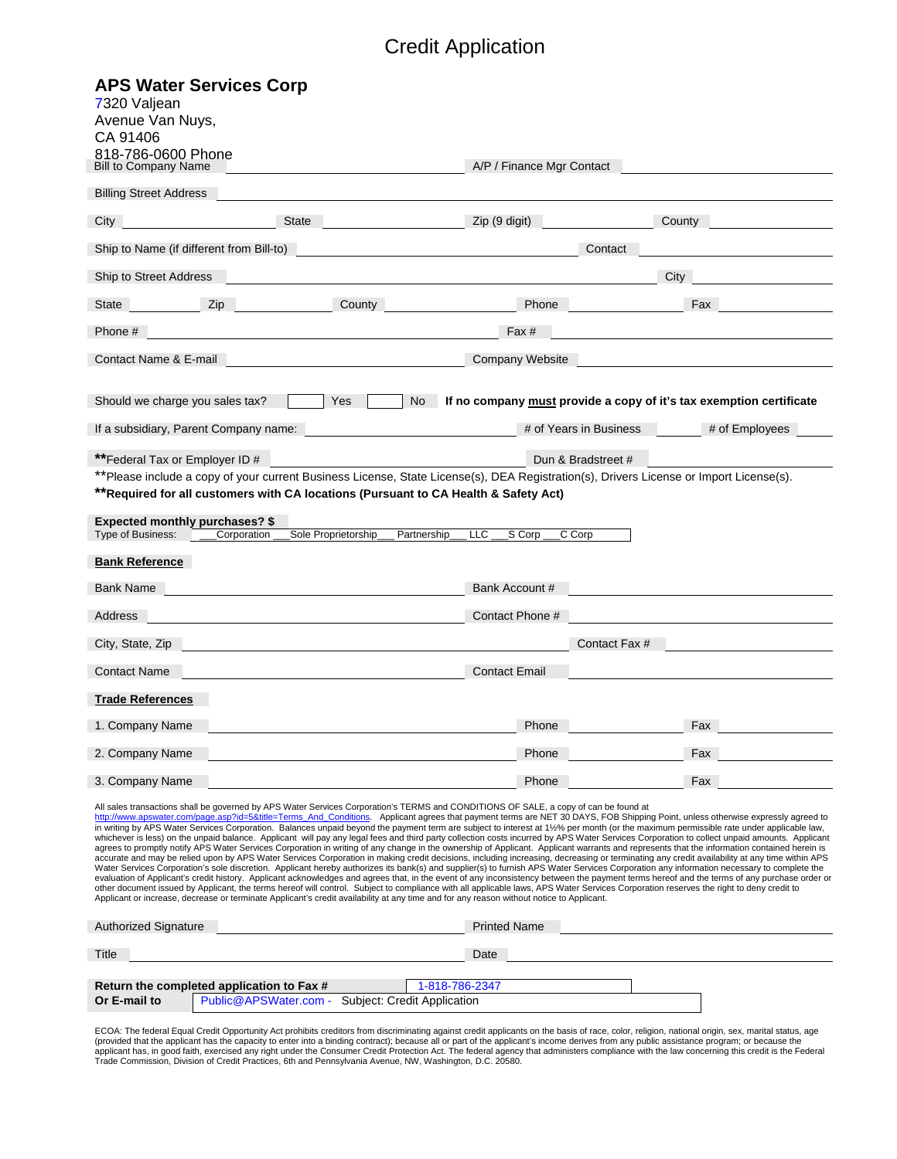| CA 91406                                                                                                                                                            |                                                                                      |                                                                                                                                          |                                                                                                                                                                                                                                                                                                                                                                                                                                                                                                                                                                                                                                                                                                                                                                                                                                                                                                                                                                                                                                                                                                                                                                                                                                                                                                                                                                     |  |
|---------------------------------------------------------------------------------------------------------------------------------------------------------------------|--------------------------------------------------------------------------------------|------------------------------------------------------------------------------------------------------------------------------------------|---------------------------------------------------------------------------------------------------------------------------------------------------------------------------------------------------------------------------------------------------------------------------------------------------------------------------------------------------------------------------------------------------------------------------------------------------------------------------------------------------------------------------------------------------------------------------------------------------------------------------------------------------------------------------------------------------------------------------------------------------------------------------------------------------------------------------------------------------------------------------------------------------------------------------------------------------------------------------------------------------------------------------------------------------------------------------------------------------------------------------------------------------------------------------------------------------------------------------------------------------------------------------------------------------------------------------------------------------------------------|--|
| 818-786-0600 Phone<br><b>Bill to Company Name</b>                                                                                                                   |                                                                                      | A/P / Finance Mgr Contact                                                                                                                |                                                                                                                                                                                                                                                                                                                                                                                                                                                                                                                                                                                                                                                                                                                                                                                                                                                                                                                                                                                                                                                                                                                                                                                                                                                                                                                                                                     |  |
| <b>Billing Street Address</b>                                                                                                                                       |                                                                                      |                                                                                                                                          |                                                                                                                                                                                                                                                                                                                                                                                                                                                                                                                                                                                                                                                                                                                                                                                                                                                                                                                                                                                                                                                                                                                                                                                                                                                                                                                                                                     |  |
| City                                                                                                                                                                | <b>State</b>                                                                         | Zip (9 digit)                                                                                                                            | County                                                                                                                                                                                                                                                                                                                                                                                                                                                                                                                                                                                                                                                                                                                                                                                                                                                                                                                                                                                                                                                                                                                                                                                                                                                                                                                                                              |  |
| Ship to Name (if different from Bill-to)                                                                                                                            |                                                                                      | Contact                                                                                                                                  |                                                                                                                                                                                                                                                                                                                                                                                                                                                                                                                                                                                                                                                                                                                                                                                                                                                                                                                                                                                                                                                                                                                                                                                                                                                                                                                                                                     |  |
| <b>Ship to Street Address</b>                                                                                                                                       |                                                                                      |                                                                                                                                          | City                                                                                                                                                                                                                                                                                                                                                                                                                                                                                                                                                                                                                                                                                                                                                                                                                                                                                                                                                                                                                                                                                                                                                                                                                                                                                                                                                                |  |
| Zip<br>State                                                                                                                                                        | County                                                                               | Phone                                                                                                                                    | Fax                                                                                                                                                                                                                                                                                                                                                                                                                                                                                                                                                                                                                                                                                                                                                                                                                                                                                                                                                                                                                                                                                                                                                                                                                                                                                                                                                                 |  |
| Phone #                                                                                                                                                             |                                                                                      | Fax #                                                                                                                                    |                                                                                                                                                                                                                                                                                                                                                                                                                                                                                                                                                                                                                                                                                                                                                                                                                                                                                                                                                                                                                                                                                                                                                                                                                                                                                                                                                                     |  |
| Contact Name & E-mail                                                                                                                                               |                                                                                      | <b>Company Website</b>                                                                                                                   |                                                                                                                                                                                                                                                                                                                                                                                                                                                                                                                                                                                                                                                                                                                                                                                                                                                                                                                                                                                                                                                                                                                                                                                                                                                                                                                                                                     |  |
|                                                                                                                                                                     |                                                                                      |                                                                                                                                          |                                                                                                                                                                                                                                                                                                                                                                                                                                                                                                                                                                                                                                                                                                                                                                                                                                                                                                                                                                                                                                                                                                                                                                                                                                                                                                                                                                     |  |
| Should we charge you sales tax?                                                                                                                                     | Yes<br><b>No</b>                                                                     |                                                                                                                                          | If no company must provide a copy of it's tax exemption certificate                                                                                                                                                                                                                                                                                                                                                                                                                                                                                                                                                                                                                                                                                                                                                                                                                                                                                                                                                                                                                                                                                                                                                                                                                                                                                                 |  |
| If a subsidiary, Parent Company name:                                                                                                                               | # of Years in Business<br># of Employees                                             |                                                                                                                                          |                                                                                                                                                                                                                                                                                                                                                                                                                                                                                                                                                                                                                                                                                                                                                                                                                                                                                                                                                                                                                                                                                                                                                                                                                                                                                                                                                                     |  |
| ** Federal Tax or Employer ID #                                                                                                                                     | Dun & Bradstreet #                                                                   |                                                                                                                                          |                                                                                                                                                                                                                                                                                                                                                                                                                                                                                                                                                                                                                                                                                                                                                                                                                                                                                                                                                                                                                                                                                                                                                                                                                                                                                                                                                                     |  |
|                                                                                                                                                                     | ** Required for all customers with CA locations (Pursuant to CA Health & Safety Act) | **Please include a copy of your current Business License, State License(s), DEA Registration(s), Drivers License or Import License(s).   |                                                                                                                                                                                                                                                                                                                                                                                                                                                                                                                                                                                                                                                                                                                                                                                                                                                                                                                                                                                                                                                                                                                                                                                                                                                                                                                                                                     |  |
|                                                                                                                                                                     |                                                                                      |                                                                                                                                          |                                                                                                                                                                                                                                                                                                                                                                                                                                                                                                                                                                                                                                                                                                                                                                                                                                                                                                                                                                                                                                                                                                                                                                                                                                                                                                                                                                     |  |
| <b>Expected monthly purchases? \$</b><br>Type of Business:<br>Corporation                                                                                           | Sole Proprietorship                                                                  | <b>LLC</b><br>Partnership<br>S Corp<br>C Corp                                                                                            |                                                                                                                                                                                                                                                                                                                                                                                                                                                                                                                                                                                                                                                                                                                                                                                                                                                                                                                                                                                                                                                                                                                                                                                                                                                                                                                                                                     |  |
|                                                                                                                                                                     |                                                                                      |                                                                                                                                          |                                                                                                                                                                                                                                                                                                                                                                                                                                                                                                                                                                                                                                                                                                                                                                                                                                                                                                                                                                                                                                                                                                                                                                                                                                                                                                                                                                     |  |
| <b>Bank Reference</b>                                                                                                                                               |                                                                                      |                                                                                                                                          |                                                                                                                                                                                                                                                                                                                                                                                                                                                                                                                                                                                                                                                                                                                                                                                                                                                                                                                                                                                                                                                                                                                                                                                                                                                                                                                                                                     |  |
|                                                                                                                                                                     |                                                                                      |                                                                                                                                          |                                                                                                                                                                                                                                                                                                                                                                                                                                                                                                                                                                                                                                                                                                                                                                                                                                                                                                                                                                                                                                                                                                                                                                                                                                                                                                                                                                     |  |
| Bank Name                                                                                                                                                           |                                                                                      | Bank Account #                                                                                                                           |                                                                                                                                                                                                                                                                                                                                                                                                                                                                                                                                                                                                                                                                                                                                                                                                                                                                                                                                                                                                                                                                                                                                                                                                                                                                                                                                                                     |  |
| Address                                                                                                                                                             |                                                                                      | Contact Phone #                                                                                                                          |                                                                                                                                                                                                                                                                                                                                                                                                                                                                                                                                                                                                                                                                                                                                                                                                                                                                                                                                                                                                                                                                                                                                                                                                                                                                                                                                                                     |  |
|                                                                                                                                                                     |                                                                                      |                                                                                                                                          | Contact Fax #                                                                                                                                                                                                                                                                                                                                                                                                                                                                                                                                                                                                                                                                                                                                                                                                                                                                                                                                                                                                                                                                                                                                                                                                                                                                                                                                                       |  |
|                                                                                                                                                                     |                                                                                      | <b>Contact Email</b>                                                                                                                     |                                                                                                                                                                                                                                                                                                                                                                                                                                                                                                                                                                                                                                                                                                                                                                                                                                                                                                                                                                                                                                                                                                                                                                                                                                                                                                                                                                     |  |
|                                                                                                                                                                     |                                                                                      |                                                                                                                                          |                                                                                                                                                                                                                                                                                                                                                                                                                                                                                                                                                                                                                                                                                                                                                                                                                                                                                                                                                                                                                                                                                                                                                                                                                                                                                                                                                                     |  |
|                                                                                                                                                                     |                                                                                      | Phone                                                                                                                                    | Fax                                                                                                                                                                                                                                                                                                                                                                                                                                                                                                                                                                                                                                                                                                                                                                                                                                                                                                                                                                                                                                                                                                                                                                                                                                                                                                                                                                 |  |
|                                                                                                                                                                     |                                                                                      | Phone                                                                                                                                    | Fax                                                                                                                                                                                                                                                                                                                                                                                                                                                                                                                                                                                                                                                                                                                                                                                                                                                                                                                                                                                                                                                                                                                                                                                                                                                                                                                                                                 |  |
|                                                                                                                                                                     |                                                                                      | Phone                                                                                                                                    | Fax                                                                                                                                                                                                                                                                                                                                                                                                                                                                                                                                                                                                                                                                                                                                                                                                                                                                                                                                                                                                                                                                                                                                                                                                                                                                                                                                                                 |  |
|                                                                                                                                                                     |                                                                                      | All sales transactions shall be governed by APS Water Services Corporation's TERMS and CONDITIONS OF SALE, a copy of can be found at     |                                                                                                                                                                                                                                                                                                                                                                                                                                                                                                                                                                                                                                                                                                                                                                                                                                                                                                                                                                                                                                                                                                                                                                                                                                                                                                                                                                     |  |
|                                                                                                                                                                     |                                                                                      |                                                                                                                                          |                                                                                                                                                                                                                                                                                                                                                                                                                                                                                                                                                                                                                                                                                                                                                                                                                                                                                                                                                                                                                                                                                                                                                                                                                                                                                                                                                                     |  |
|                                                                                                                                                                     |                                                                                      |                                                                                                                                          |                                                                                                                                                                                                                                                                                                                                                                                                                                                                                                                                                                                                                                                                                                                                                                                                                                                                                                                                                                                                                                                                                                                                                                                                                                                                                                                                                                     |  |
|                                                                                                                                                                     |                                                                                      |                                                                                                                                          |                                                                                                                                                                                                                                                                                                                                                                                                                                                                                                                                                                                                                                                                                                                                                                                                                                                                                                                                                                                                                                                                                                                                                                                                                                                                                                                                                                     |  |
|                                                                                                                                                                     |                                                                                      | Applicant or increase, decrease or terminate Applicant's credit availability at any time and for any reason without notice to Applicant. | other document issued by Applicant, the terms hereof will control. Subject to compliance with all applicable laws, APS Water Services Corporation reserves the right to deny credit to                                                                                                                                                                                                                                                                                                                                                                                                                                                                                                                                                                                                                                                                                                                                                                                                                                                                                                                                                                                                                                                                                                                                                                              |  |
|                                                                                                                                                                     |                                                                                      | <b>Printed Name</b>                                                                                                                      |                                                                                                                                                                                                                                                                                                                                                                                                                                                                                                                                                                                                                                                                                                                                                                                                                                                                                                                                                                                                                                                                                                                                                                                                                                                                                                                                                                     |  |
| City, State, Zip<br><b>Contact Name</b><br><b>Trade References</b><br>1. Company Name<br>2. Company Name<br>3. Company Name<br><b>Authorized Signature</b><br>Title |                                                                                      | Date                                                                                                                                     | http://www.apswater.com/page.asp?id=5&title=Terms_And_Conditions. Applicant agrees that payment terms are NET 30 DAYS, FOB Shipping Point, unless otherwise expressly agreed to<br>in writing by APS Water Services Corporation. Balances unpaid beyond the payment term are subject to interest at 1½% per month (or the maximum permissible rate under applicable law,<br>whichever is less) on the unpaid balance. Applicant will pay any legal fees and third party collection costs incurred by APS Water Services Corporation to collect unpaid amounts. Applicant<br>agrees to promptly notify APS Water Services Corporation in writing of any change in the ownership of Applicant. Applicant warrants and represents that the information contained herein is<br>accurate and may be relied upon by APS Water Services Corporation in making credit decisions, including increasing, decreasing or terminating any credit availability at any time within APS<br>Water Services Corporation's sole discretion. Applicant hereby authorizes its bank(s) and supplier(s) to furnish APS Water Services Corporation any information necessary to complete the<br>evaluation of Applicant's credit history. Applicant acknowledges and agrees that, in the event of any inconsistency between the payment terms hereof and the terms of any purchase order or |  |
|                                                                                                                                                                     |                                                                                      |                                                                                                                                          |                                                                                                                                                                                                                                                                                                                                                                                                                                                                                                                                                                                                                                                                                                                                                                                                                                                                                                                                                                                                                                                                                                                                                                                                                                                                                                                                                                     |  |
| Return the completed application to Fax #<br>Or E-mail to                                                                                                           | Public@APSWater.com - Subject: Credit Application                                    | 1-818-786-2347                                                                                                                           |                                                                                                                                                                                                                                                                                                                                                                                                                                                                                                                                                                                                                                                                                                                                                                                                                                                                                                                                                                                                                                                                                                                                                                                                                                                                                                                                                                     |  |

(provided that the applicant has the capacity to enter into a binding contract); because all or part of the applicant's income derives from any public assistance program; or because the<br>applicant has, in good faith, exerci